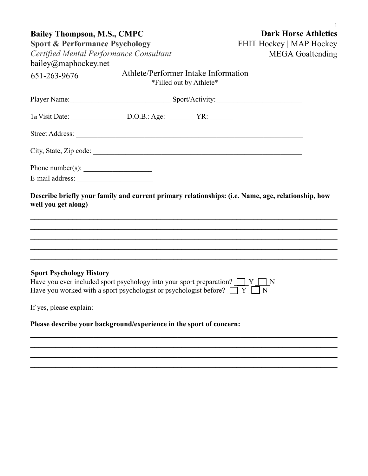| <b>Bailey Thompson, M.S., CMPC</b>                                  |                                                                                                                                                                           | <b>Dark Horse Athletics</b>     |                                                                                                                                                                                                                            |  |  |  |
|---------------------------------------------------------------------|---------------------------------------------------------------------------------------------------------------------------------------------------------------------------|---------------------------------|----------------------------------------------------------------------------------------------------------------------------------------------------------------------------------------------------------------------------|--|--|--|
| <b>Sport &amp; Performance Psychology</b>                           |                                                                                                                                                                           | <b>FHIT Hockey   MAP Hockey</b> |                                                                                                                                                                                                                            |  |  |  |
|                                                                     | Certified Mental Performance Consultant                                                                                                                                   | <b>MEGA</b> Goaltending         |                                                                                                                                                                                                                            |  |  |  |
| bailey@maphockey.net                                                |                                                                                                                                                                           |                                 |                                                                                                                                                                                                                            |  |  |  |
| 651-263-9676                                                        | Athlete/Performer Intake Information                                                                                                                                      | *Filled out by Athlete*         |                                                                                                                                                                                                                            |  |  |  |
|                                                                     | Player Name: Sport/Activity:                                                                                                                                              |                                 |                                                                                                                                                                                                                            |  |  |  |
|                                                                     |                                                                                                                                                                           |                                 |                                                                                                                                                                                                                            |  |  |  |
|                                                                     |                                                                                                                                                                           |                                 |                                                                                                                                                                                                                            |  |  |  |
|                                                                     |                                                                                                                                                                           |                                 |                                                                                                                                                                                                                            |  |  |  |
| Phone number(s): $\frac{1}{\sqrt{1-\frac{1}{2}} \cdot \frac{1}{2}}$ |                                                                                                                                                                           |                                 |                                                                                                                                                                                                                            |  |  |  |
|                                                                     |                                                                                                                                                                           |                                 |                                                                                                                                                                                                                            |  |  |  |
| well you get along)                                                 |                                                                                                                                                                           |                                 | Describe briefly your family and current primary relationships: (i.e. Name, age, relationship, how<br><u> 1989 - Johann John Stone, market fan de Fryske kunsten it fan de Fryske kunsten fan de Fryske kunsten fan de</u> |  |  |  |
| <b>Sport Psychology History</b>                                     | Have you ever included sport psychology into your sport preparation? $\Box Y \Box N$<br>Have you worked with a sport psychologist or psychologist before? $\Box Y \Box N$ |                                 |                                                                                                                                                                                                                            |  |  |  |
| If yes, please explain:                                             |                                                                                                                                                                           |                                 |                                                                                                                                                                                                                            |  |  |  |
|                                                                     | Please describe your background/experience in the sport of concern:                                                                                                       |                                 |                                                                                                                                                                                                                            |  |  |  |
|                                                                     |                                                                                                                                                                           |                                 |                                                                                                                                                                                                                            |  |  |  |
|                                                                     |                                                                                                                                                                           |                                 |                                                                                                                                                                                                                            |  |  |  |

**\_\_\_\_\_\_\_\_\_\_\_\_\_\_\_\_\_\_\_\_\_\_\_\_\_\_\_\_\_\_\_\_\_\_\_\_\_\_\_\_\_\_\_\_\_\_\_\_\_\_\_\_\_\_\_\_\_\_\_\_\_\_\_\_\_\_\_\_\_\_\_\_\_**

1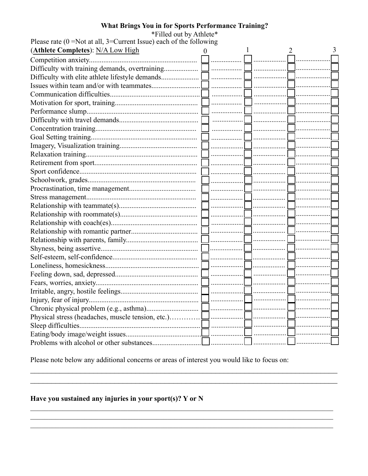# What Brings You in for Sports Performance Training?

| *Filled out by Athlete*                                                    |          |  |  |  |
|----------------------------------------------------------------------------|----------|--|--|--|
| Please rate ( $0 = Not$ at all, $3 = Current$ Issue) each of the following |          |  |  |  |
| (Athlete Completes): N/A Low High                                          |          |  |  |  |
|                                                                            | .        |  |  |  |
|                                                                            |          |  |  |  |
|                                                                            |          |  |  |  |
|                                                                            |          |  |  |  |
|                                                                            |          |  |  |  |
|                                                                            |          |  |  |  |
|                                                                            |          |  |  |  |
|                                                                            |          |  |  |  |
|                                                                            |          |  |  |  |
|                                                                            |          |  |  |  |
|                                                                            |          |  |  |  |
|                                                                            | -        |  |  |  |
|                                                                            |          |  |  |  |
|                                                                            |          |  |  |  |
|                                                                            |          |  |  |  |
|                                                                            |          |  |  |  |
|                                                                            |          |  |  |  |
|                                                                            |          |  |  |  |
|                                                                            |          |  |  |  |
|                                                                            |          |  |  |  |
|                                                                            |          |  |  |  |
|                                                                            |          |  |  |  |
|                                                                            |          |  |  |  |
|                                                                            |          |  |  |  |
|                                                                            |          |  |  |  |
|                                                                            |          |  |  |  |
|                                                                            |          |  |  |  |
|                                                                            |          |  |  |  |
|                                                                            |          |  |  |  |
|                                                                            | 」………………… |  |  |  |
| Physical stress (headaches, muscle tension, etc.)                          | .        |  |  |  |
|                                                                            |          |  |  |  |
|                                                                            |          |  |  |  |
| Problems with alcohol or other substances.                                 |          |  |  |  |

Please note below any additional concerns or areas of interest you would like to focus on:

<u> 1989 - Johann Harry Marie Barn, mars and deutscher Schwarzer und der Stadt und der Stadt und der Stadt und de</u>

# Have you sustained any injuries in your sport(s)?  $Y$  or  $N$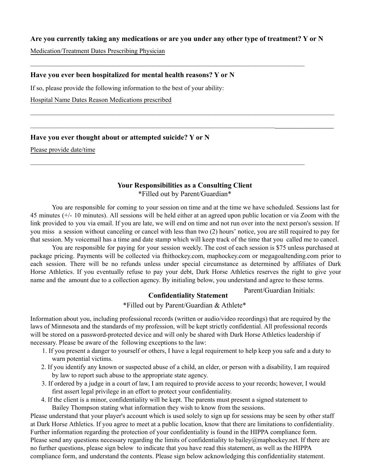#### **Are you currently taking any medications or are you under any other type of treatment? Y or N**

 $\mathcal{L}_\mathcal{L} = \{ \mathcal{L}_\mathcal{L} = \{ \mathcal{L}_\mathcal{L} = \{ \mathcal{L}_\mathcal{L} = \{ \mathcal{L}_\mathcal{L} = \{ \mathcal{L}_\mathcal{L} = \{ \mathcal{L}_\mathcal{L} = \{ \mathcal{L}_\mathcal{L} = \{ \mathcal{L}_\mathcal{L} = \{ \mathcal{L}_\mathcal{L} = \{ \mathcal{L}_\mathcal{L} = \{ \mathcal{L}_\mathcal{L} = \{ \mathcal{L}_\mathcal{L} = \{ \mathcal{L}_\mathcal{L} = \{ \mathcal{L}_\mathcal{$ 

 $\mathcal{L}_\mathcal{L} = \{ \mathcal{L}_\mathcal{L} = \{ \mathcal{L}_\mathcal{L} = \{ \mathcal{L}_\mathcal{L} = \{ \mathcal{L}_\mathcal{L} = \{ \mathcal{L}_\mathcal{L} = \{ \mathcal{L}_\mathcal{L} = \{ \mathcal{L}_\mathcal{L} = \{ \mathcal{L}_\mathcal{L} = \{ \mathcal{L}_\mathcal{L} = \{ \mathcal{L}_\mathcal{L} = \{ \mathcal{L}_\mathcal{L} = \{ \mathcal{L}_\mathcal{L} = \{ \mathcal{L}_\mathcal{L} = \{ \mathcal{L}_\mathcal{$ 

Medication/Treatment Dates Prescribing Physician

#### **Have you ever been hospitalized for mental health reasons? Y or N**

If so, please provide the following information to the best of your ability:

Hospital Name Dates Reason Medications prescribed

#### **Have you ever thought about or attempted suicide? Y or N**

Please provide date/time

# **Your Responsibilities as a Consulting Client**

 $\mathcal{L}_\mathcal{L} = \mathcal{L}_\mathcal{L} = \mathcal{L}_\mathcal{L} = \mathcal{L}_\mathcal{L} = \mathcal{L}_\mathcal{L} = \mathcal{L}_\mathcal{L} = \mathcal{L}_\mathcal{L} = \mathcal{L}_\mathcal{L} = \mathcal{L}_\mathcal{L} = \mathcal{L}_\mathcal{L} = \mathcal{L}_\mathcal{L} = \mathcal{L}_\mathcal{L} = \mathcal{L}_\mathcal{L} = \mathcal{L}_\mathcal{L} = \mathcal{L}_\mathcal{L} = \mathcal{L}_\mathcal{L} = \mathcal{L}_\mathcal{L}$ 

\_\_\_\_\_\_\_\_\_\_\_\_\_\_\_\_\_\_\_\_\_\_\_\_\_\_\_\_\_\_\_\_\_\_\_\_\_\_\_\_\_\_\_\_\_\_\_\_\_\_\_\_\_\_\_\_\_\_\_\_\_\_\_\_\_\_\_\_\_\_\_\_\_\_\_\_\_\_\_\_\_\_\_\_\_\_\_\_

\*Filled out by Parent/Guardian\*

You are responsible for coming to your session on time and at the time we have scheduled. Sessions last for 45 minutes (+/- 10 minutes). All sessions will be held either at an agreed upon public location or via Zoom with the link provided to you via email. If you are late, we will end on time and not run over into the next person's session. If you miss a session without canceling or cancel with less than two (2) hours' notice, you are still required to pay for that session. My voicemail has a time and date stamp which will keep track of the time that you called me to cancel.

You are responsible for paying for your session weekly. The cost of each session is \$75 unless purchased at package pricing. Payments will be collected via fhithockey.com, maphockey.com or megagoaltending.com prior to each session. There will be no refunds unless under special circumstance as determined by affiliates of Dark Horse Athletics. If you eventually refuse to pay your debt, Dark Horse Athletics reserves the right to give your name and the amount due to a collection agency. By initialing below, you understand and agree to these terms.

### Parent/Guardian Initials:

# **Confidentiality Statement**

\*Filled out by Parent/Guardian & Athlete\*

Information about you, including professional records (written or audio/video recordings) that are required by the laws of Minnesota and the standards of my profession, will be kept strictly confidential. All professional records will be stored on a password-protected device and will only be shared with Dark Horse Athletics leadership if necessary. Please be aware of the following exceptions to the law:

- 1. If you present a danger to yourself or others, I have a legal requirement to help keep you safe and a duty to warn potential victims.
- 2. If you identify any known or suspected abuse of a child, an elder, or person with a disability, I am required by law to report such abuse to the appropriate state agency.
- 3. If ordered by a judge in a court of law, I am required to provide access to your records; however, I would first assert legal privilege in an effort to protect your confidentiality.
- 4. If the client is a minor, confidentiality will be kept. The parents must present a signed statement to Bailey Thompson stating what information they wish to know from the sessions.

Please understand that your player's account which is used solely to sign up for sessions may be seen by other staff at Dark Horse Athletics. If you agree to meet at a public location, know that there are limitations to confidentiality. Further information regarding the protection of your confidentiality is found in the HIPPA compliance form. Please send any questions necessary regarding the limits of confidentiality to bailey@maphockey.net. If there are no further questions, please sign below to indicate that you have read this statement, as well as the HIPPA compliance form, and understand the contents. Please sign below acknowledging this confidentiality statement.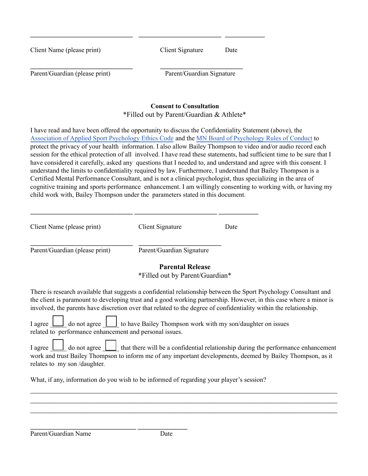| Client Name (please print)                                                                                                                                                                                  | Client Signature                          | Date |
|-------------------------------------------------------------------------------------------------------------------------------------------------------------------------------------------------------------|-------------------------------------------|------|
| Parent/Guardian (please print)                                                                                                                                                                              | Parent/Guardian Signature                 |      |
|                                                                                                                                                                                                             | <b>Consent to Consultation</b>            |      |
|                                                                                                                                                                                                             | *Filled out by Parent/Guardian & Athlete* |      |
| I have read and have been offered the opportunity to discuss the Confidentiality Statement (above), the<br>Association of Applied Sport Psychology Ethics Code and the MN Board of Psychology Rules of Cong |                                           |      |

Rules of Conduct to protect the privacy of your health information. I also allow Bailey Thompson to video and/or audio record each session for the ethical protection of all involved. I have read these statements, had sufficient time to be sure that I have considered it carefully, asked any questions that I needed to, and understand and agree with this consent. I understand the limits to confidentiality required by law. Furthermore, I understand that Bailey Thompson is a Certified Mental Performance Consultant, and is not a clinical psychologist, thus specializing in the area of cognitive training and sports performance enhancement. I am willingly consenting to working with, or having my child work with, Bailey Thompson under the parameters stated in this document.

| Client Name (please print)     | Client Signature                                           | Date |
|--------------------------------|------------------------------------------------------------|------|
| Parent/Guardian (please print) | Parent/Guardian Signature                                  |      |
|                                | <b>Parental Release</b><br>*Filled out by Parent/Guardian* |      |

**\_\_\_\_\_\_\_\_\_\_\_\_\_\_\_\_\_\_\_\_\_\_\_\_\_\_\_\_\_\_\_ \_\_\_\_\_\_\_\_\_\_\_\_\_\_\_\_\_\_\_\_\_\_\_\_\_ \_\_\_\_\_\_\_\_\_\_\_\_**

There is research available that suggests a confidential relationship between the Sport Psychology Consultant and the client is paramount to developing trust and a good working partnership. However, in this case where a minor is involved, the parents have discretion over that related to the degree of confidentiality within the relationship.

|  |  | I agree $\Box$ do not agree $\Box$ to have Bailey Thompson work with my son/daughter on issues |  |
|--|--|------------------------------------------------------------------------------------------------|--|
|  |  | related to performance enhancement and personal issues.                                        |  |

|  |                             | I agree $\Box$ do not agree $\Box$ that there will be a confidential relationship during the performance enhancement |  |
|--|-----------------------------|----------------------------------------------------------------------------------------------------------------------|--|
|  |                             | work and trust Bailey Thompson to inform me of any important developments, deemed by Bailey Thompson, as it          |  |
|  | relates to my son/daughter. |                                                                                                                      |  |

 $\_$  , and the set of the set of the set of the set of the set of the set of the set of the set of the set of the set of the set of the set of the set of the set of the set of the set of the set of the set of the set of th  $\_$  , and the set of the set of the set of the set of the set of the set of the set of the set of the set of the set of the set of the set of the set of the set of the set of the set of the set of the set of the set of th  $\_$  , and the set of the set of the set of the set of the set of the set of the set of the set of the set of the set of the set of the set of the set of the set of the set of the set of the set of the set of the set of th

What, if any, information do you wish to be informed of regarding your player's session?

**\_\_\_\_\_\_\_\_\_\_\_\_\_\_\_\_\_\_\_\_\_\_\_\_\_\_\_\_\_\_\_\_ \_\_\_\_\_\_\_\_\_\_\_\_\_\_\_**

 $\Box$ 

Parent/Guardian Name Date

 $\overline{\phantom{0}}$